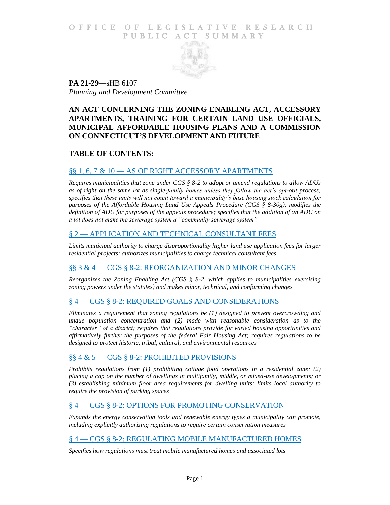### O F FICE OF LEGISLATIVE RESEARCH PUBLIC ACT SUMMARY



**PA 21-29**—sHB 6107 *Planning and Development Committee*

# **AN ACT CONCERNING THE ZONING ENABLING ACT, ACCESSORY APARTMENTS, TRAINING FOR CERTAIN LAND USE OFFICIALS, MUNICIPAL AFFORDABLE HOUSING PLANS AND A COMMISSION ON CONNECTICUT'S DEVELOPMENT AND FUTURE**

## **TABLE OF CONTENTS:**

## §§ 1, 6, 7 & 10 - [AS OF RIGHT ACCESSORY APARTMENTS](#page-1-0)

*[Requires municipalities that zone under CGS § 8-2 to adopt or amend regulations to allow ADUs](#page-1-1)  [as of right on the same lot as single-family homes unless they follow the act's opt-out process;](#page-1-1)  [specifies that these units will not count toward a municipality's base housing stock calculation for](#page-1-1)  [purposes of the Affordable Housing Land Use Appeals Procedure \(CGS § 8-30g\); modifies the](#page-1-1)  [definition of ADU for purposes of the appeals procedure; specifies that the addition of an ADU on](#page-1-1)  [a lot does not make the sewerage system a "community sewerage system"](#page-1-1)*

## § 2 — [APPLICATION AND TECHNICAL CONSULTANT FEES](#page-4-0)

*[Limits municipal authority to charge disproportionality higher land use application fees for larger](#page-4-1)  [residential projects; authorizes municipalities to charge technical consultant fees](#page-4-1)*

### §§ 3 & 4 — [CGS § 8-2: REORGANIZATION AND MINOR CHANGES](#page-4-2)

*[Reorganizes the Zoning Enabling Act \(CGS § 8-2, which applies to municipalities exercising](#page-4-3)  [zoning powers under the statutes\) and makes minor, technical, and conforming changes](#page-4-3)*

### § 4 — [CGS § 8-2: REQUIRED GOALS AND CONSIDERATIONS](#page-5-0)

*[Eliminates a requirement that zoning regulations be \(1\) designed to prevent overcrowding and](#page-5-1)  [undue population concentration and \(2\) made with reasonable consideration as to the](#page-5-1)  ["character" of a district; requires that regulations provide for varied housing opportunities and](#page-5-1)  [affirmatively further the purposes of the federal Fair Housing Act; requires regulations to be](#page-5-1)  [designed to protect historic, tribal, cultural, and environmental resources](#page-5-1)*

### §§ 4 & 5 — [CGS § 8-2: PROHIBITED PROVISIONS](#page-6-0)

*[Prohibits regulations from \(1\) prohibiting cottage food operations in a residential zone; \(2\)](#page-6-1)  [placing a cap on the number of dwellings in multifamily, middle, or mixed-use developments; or](#page-6-1)  [\(3\) establishing minimum floor area requirements for dwelling units; limits local authority to](#page-6-1)  [require the provision of parking spaces](#page-6-1)*

### § 4 — [CGS § 8-2: OPTIONS FOR PROMOTING CONSERVATION](#page-7-0)

*[Expands the energy conservation tools and renewable energy types a municipality can promote,](#page-7-1)  [including explicitly authorizing regulations to require certain conservation measures](#page-7-1)*

### § 4 — [CGS § 8-2: REGULATING MOBILE MANUFACTURED HOMES](#page-7-2)

*[Specifies how regulations must treat mobile manufactured homes and associated lots](#page-7-3)*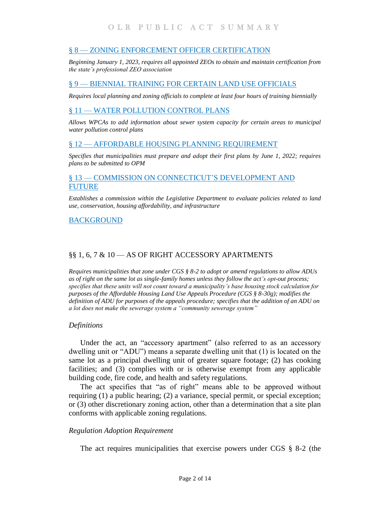## § 8 — [ZONING ENFORCEMENT OFFICER CERTIFICATION](#page-8-0)

*[Beginning January 1, 2023, requires all appointed ZEOs to obtain and maintain certification from](#page-8-1)  [the state's professional ZEO association](#page-8-1)*

# § 9 — [BIENNIAL TRAINING FOR CERTAIN LAND USE OFFICIALS](#page-8-2)

*[Requires local planning and zoning officials to complete at least four hours of training biennially](#page-8-3)*

# § 11 — [WATER POLLUTION CONTROL PLANS](#page-9-0)

*[Allows WPCAs to add information about sewer system capacity for certain areas to municipal](#page-9-1)  [water pollution control plans](#page-9-1)*

# § 12 — [AFFORDABLE HOUSING PLANNING REQUIREMENT](#page-9-2)

*[Specifies that municipalities must prepare and adopt their first plans by June 1, 2022; requires](#page-9-3)  [plans to be submitted to OPM](#page-9-3)*

## § 13 — [COMMISSION ON CONNECTICUT'S DEVELOPMENT AND](#page-10-0)  [FUTURE](#page-10-0)

*[Establishes a commission within the Legislative Department to evaluate policies related to land](#page-10-1)  [use, conservation, housing affordability, and infrastructure](#page-10-1)*

### [BACKGROUND](#page-12-0)

## <span id="page-1-0"></span>§§ 1, 6, 7 & 10 — AS OF RIGHT ACCESSORY APARTMENTS

<span id="page-1-1"></span>*Requires municipalities that zone under CGS § 8-2 to adopt or amend regulations to allow ADUs as of right on the same lot as single-family homes unless they follow the act's opt-out process; specifies that these units will not count toward a municipality's base housing stock calculation for purposes of the Affordable Housing Land Use Appeals Procedure (CGS § 8-30g); modifies the definition of ADU for purposes of the appeals procedure; specifies that the addition of an ADU on a lot does not make the sewerage system a "community sewerage system"*

#### *Definitions*

Under the act, an "accessory apartment" (also referred to as an accessory dwelling unit or "ADU") means a separate dwelling unit that (1) is located on the same lot as a principal dwelling unit of greater square footage; (2) has cooking facilities; and (3) complies with or is otherwise exempt from any applicable building code, fire code, and health and safety regulations.

The act specifies that "as of right" means able to be approved without requiring (1) a public hearing; (2) a variance, special permit, or special exception; or (3) other discretionary zoning action, other than a determination that a site plan conforms with applicable zoning regulations.

#### *Regulation Adoption Requirement*

The act requires municipalities that exercise powers under CGS § 8-2 (the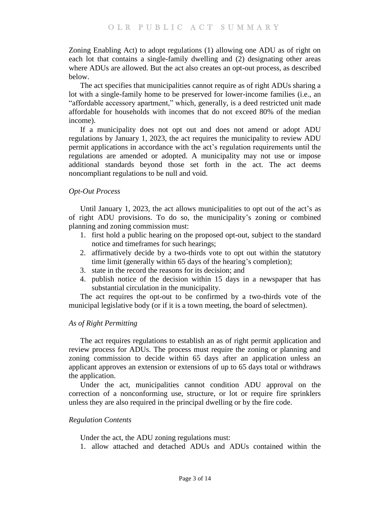Zoning Enabling Act) to adopt regulations (1) allowing one ADU as of right on each lot that contains a single-family dwelling and (2) designating other areas where ADUs are allowed. But the act also creates an opt-out process, as described below.

The act specifies that municipalities cannot require as of right ADUs sharing a lot with a single-family home to be preserved for lower-income families (i.e., an "affordable accessory apartment," which, generally, is a deed restricted unit made affordable for households with incomes that do not exceed 80% of the median income).

If a municipality does not opt out and does not amend or adopt ADU regulations by January 1, 2023, the act requires the municipality to review ADU permit applications in accordance with the act's regulation requirements until the regulations are amended or adopted. A municipality may not use or impose additional standards beyond those set forth in the act. The act deems noncompliant regulations to be null and void.

### *Opt-Out Process*

Until January 1, 2023, the act allows municipalities to opt out of the act's as of right ADU provisions. To do so, the municipality's zoning or combined planning and zoning commission must:

- 1. first hold a public hearing on the proposed opt-out, subject to the standard notice and timeframes for such hearings;
- 2. affirmatively decide by a two-thirds vote to opt out within the statutory time limit (generally within 65 days of the hearing's completion);
- 3. state in the record the reasons for its decision; and
- 4. publish notice of the decision within 15 days in a newspaper that has substantial circulation in the municipality.

The act requires the opt-out to be confirmed by a two-thirds vote of the municipal legislative body (or if it is a town meeting, the board of selectmen).

### *As of Right Permitting*

The act requires regulations to establish an as of right permit application and review process for ADUs. The process must require the zoning or planning and zoning commission to decide within 65 days after an application unless an applicant approves an extension or extensions of up to 65 days total or withdraws the application.

Under the act, municipalities cannot condition ADU approval on the correction of a nonconforming use, structure, or lot or require fire sprinklers unless they are also required in the principal dwelling or by the fire code.

### *Regulation Contents*

Under the act, the ADU zoning regulations must:

1. allow attached and detached ADUs and ADUs contained within the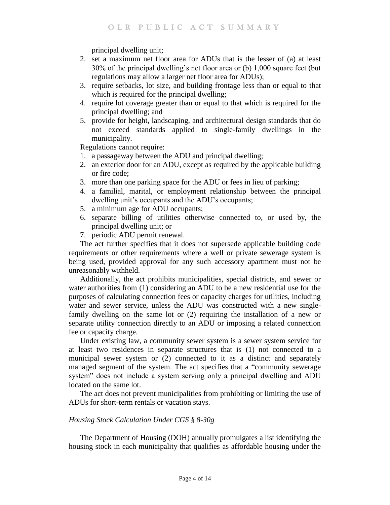principal dwelling unit;

- 2. set a maximum net floor area for ADUs that is the lesser of (a) at least 30% of the principal dwelling's net floor area or (b) 1,000 square feet (but regulations may allow a larger net floor area for ADUs);
- 3. require setbacks, lot size, and building frontage less than or equal to that which is required for the principal dwelling;
- 4. require lot coverage greater than or equal to that which is required for the principal dwelling; and
- 5. provide for height, landscaping, and architectural design standards that do not exceed standards applied to single-family dwellings in the municipality.

Regulations cannot require:

- 1. a passageway between the ADU and principal dwelling;
- 2. an exterior door for an ADU, except as required by the applicable building or fire code;
- 3. more than one parking space for the ADU or fees in lieu of parking;
- 4. a familial, marital, or employment relationship between the principal dwelling unit's occupants and the ADU's occupants;
- 5. a minimum age for ADU occupants;
- 6. separate billing of utilities otherwise connected to, or used by, the principal dwelling unit; or
- 7. periodic ADU permit renewal.

The act further specifies that it does not supersede applicable building code requirements or other requirements where a well or private sewerage system is being used, provided approval for any such accessory apartment must not be unreasonably withheld.

Additionally, the act prohibits municipalities, special districts, and sewer or water authorities from (1) considering an ADU to be a new residential use for the purposes of calculating connection fees or capacity charges for utilities, including water and sewer service, unless the ADU was constructed with a new singlefamily dwelling on the same lot or (2) requiring the installation of a new or separate utility connection directly to an ADU or imposing a related connection fee or capacity charge.

Under existing law, a community sewer system is a sewer system service for at least two residences in separate structures that is (1) not connected to a municipal sewer system or (2) connected to it as a distinct and separately managed segment of the system. The act specifies that a "community sewerage system" does not include a system serving only a principal dwelling and ADU located on the same lot.

The act does not prevent municipalities from prohibiting or limiting the use of ADUs for short-term rentals or vacation stays.

### *Housing Stock Calculation Under CGS § 8-30g*

The Department of Housing (DOH) annually promulgates a list identifying the housing stock in each municipality that qualifies as affordable housing under the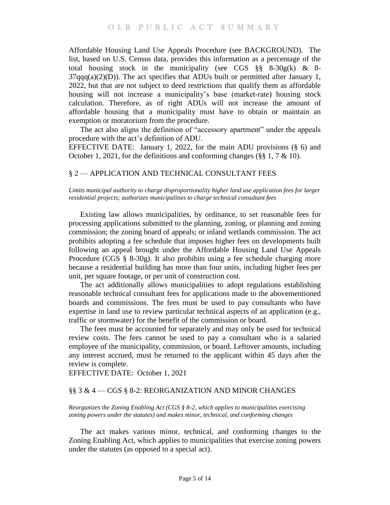Affordable Housing Land Use Appeals Procedure (see BACKGROUND). The list, based on U.S. Census data, provides this information as a percentage of the total housing stock in the municipality (see CGS  $\S$ § 8-30g(k) & 8- $37qqq(a)(2)(D)$ ). The act specifies that ADUs built or permitted after January 1, 2022, but that are not subject to deed restrictions that qualify them as affordable housing will not increase a municipality's base (market-rate) housing stock calculation. Therefore, as of right ADUs will not increase the amount of affordable housing that a municipality must have to obtain or maintain an exemption or moratorium from the procedure.

The act also aligns the definition of "accessory apartment" under the appeals procedure with the act's definition of ADU.

EFFECTIVE DATE: January 1, 2022, for the main ADU provisions (§ 6) and October 1, 2021, for the definitions and conforming changes (§§ 1, 7 & 10).

### <span id="page-4-1"></span><span id="page-4-0"></span>§ 2 — APPLICATION AND TECHNICAL CONSULTANT FEES

*Limits municipal authority to charge disproportionality higher land use application fees for larger residential projects; authorizes municipalities to charge technical consultant fees* 

Existing law allows municipalities, by ordinance, to set reasonable fees for processing applications submitted to the planning, zoning, or planning and zoning commission; the zoning board of appeals; or inland wetlands commission. The act prohibits adopting a fee schedule that imposes higher fees on developments built following an appeal brought under the Affordable Housing Land Use Appeals Procedure (CGS § 8-30g). It also prohibits using a fee schedule charging more because a residential building has more than four units, including higher fees per unit, per square footage, or per unit of construction cost.

The act additionally allows municipalities to adopt regulations establishing reasonable technical consultant fees for applications made to the abovementioned boards and commissions. The fees must be used to pay consultants who have expertise in land use to review particular technical aspects of an application (e.g., traffic or stormwater) for the benefit of the commission or board.

The fees must be accounted for separately and may only be used for technical review costs. The fees cannot be used to pay a consultant who is a salaried employee of the municipality, commission, or board. Leftover amounts, including any interest accrued, must be returned to the applicant within 45 days after the review is complete.

EFFECTIVE DATE: October 1, 2021

#### <span id="page-4-2"></span>§§ 3 & 4 — CGS § 8-2: REORGANIZATION AND MINOR CHANGES

<span id="page-4-3"></span>*Reorganizes the Zoning Enabling Act (CGS § 8-2, which applies to municipalities exercising zoning powers under the statutes) and makes minor, technical, and conforming changes*

The act makes various minor, technical, and conforming changes to the Zoning Enabling Act, which applies to municipalities that exercise zoning powers under the statutes (as opposed to a special act).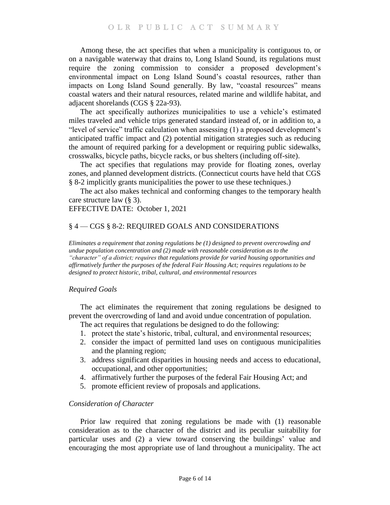Among these, the act specifies that when a municipality is contiguous to, or on a navigable waterway that drains to, Long Island Sound, its regulations must require the zoning commission to consider a proposed development's environmental impact on Long Island Sound's coastal resources, rather than impacts on Long Island Sound generally. By law, "coastal resources" means coastal waters and their natural resources, related marine and wildlife habitat, and adjacent shorelands (CGS § 22a-93).

The act specifically authorizes municipalities to use a vehicle's estimated miles traveled and vehicle trips generated standard instead of, or in addition to, a "level of service" traffic calculation when assessing (1) a proposed development's anticipated traffic impact and (2) potential mitigation strategies such as reducing the amount of required parking for a development or requiring public sidewalks, crosswalks, bicycle paths, bicycle racks, or bus shelters (including off-site).

The act specifies that regulations may provide for floating zones, overlay zones, and planned development districts. (Connecticut courts have held that CGS § 8-2 implicitly grants municipalities the power to use these techniques.)

The act also makes technical and conforming changes to the temporary health care structure law (§ 3).

### EFFECTIVE DATE: October 1, 2021

### <span id="page-5-0"></span>§ 4 — CGS § 8-2: REQUIRED GOALS AND CONSIDERATIONS

<span id="page-5-1"></span>*Eliminates a requirement that zoning regulations be (1) designed to prevent overcrowding and undue population concentration and (2) made with reasonable consideration as to the "character" of a district; requires that regulations provide for varied housing opportunities and affirmatively further the purposes of the federal Fair Housing Act; requires regulations to be designed to protect historic, tribal, cultural, and environmental resources* 

### *Required Goals*

The act eliminates the requirement that zoning regulations be designed to prevent the overcrowding of land and avoid undue concentration of population.

The act requires that regulations be designed to do the following:

- 1. protect the state's historic, tribal, cultural, and environmental resources;
- 2. consider the impact of permitted land uses on contiguous municipalities and the planning region;
- 3. address significant disparities in housing needs and access to educational, occupational, and other opportunities;
- 4. affirmatively further the purposes of the federal Fair Housing Act; and
- 5. promote efficient review of proposals and applications.

#### *Consideration of Character*

Prior law required that zoning regulations be made with (1) reasonable consideration as to the character of the district and its peculiar suitability for particular uses and (2) a view toward conserving the buildings' value and encouraging the most appropriate use of land throughout a municipality. The act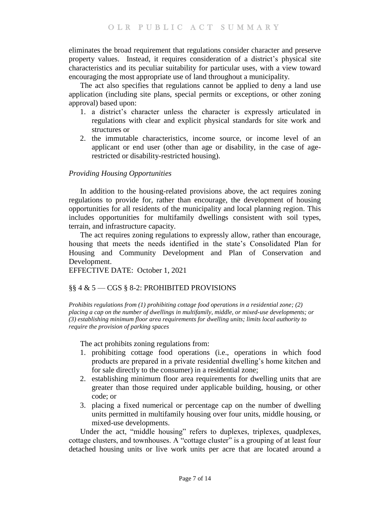eliminates the broad requirement that regulations consider character and preserve property values. Instead, it requires consideration of a district's physical site characteristics and its peculiar suitability for particular uses, with a view toward encouraging the most appropriate use of land throughout a municipality.

The act also specifies that regulations cannot be applied to deny a land use application (including site plans, special permits or exceptions, or other zoning approval) based upon:

- 1. a district's character unless the character is expressly articulated in regulations with clear and explicit physical standards for site work and structures or
- 2. the immutable characteristics, income source, or income level of an applicant or end user (other than age or disability, in the case of agerestricted or disability-restricted housing).

### *Providing Housing Opportunities*

In addition to the housing-related provisions above, the act requires zoning regulations to provide for, rather than encourage, the development of housing opportunities for all residents of the municipality and local planning region. This includes opportunities for multifamily dwellings consistent with soil types, terrain, and infrastructure capacity.

The act requires zoning regulations to expressly allow, rather than encourage, housing that meets the needs identified in the state's Consolidated Plan for Housing and Community Development and Plan of Conservation and Development.

EFFECTIVE DATE: October 1, 2021

# <span id="page-6-0"></span>§§ 4 & 5 — CGS § 8-2: PROHIBITED PROVISIONS

<span id="page-6-1"></span>*Prohibits regulations from (1) prohibiting cottage food operations in a residential zone; (2) placing a cap on the number of dwellings in multifamily, middle, or mixed-use developments; or (3) establishing minimum floor area requirements for dwelling units; limits local authority to require the provision of parking spaces* 

The act prohibits zoning regulations from:

- 1. prohibiting cottage food operations (i.e., operations in which food products are prepared in a private residential dwelling's home kitchen and for sale directly to the consumer) in a residential zone;
- 2. establishing minimum floor area requirements for dwelling units that are greater than those required under applicable building, housing, or other code; or
- 3. placing a fixed numerical or percentage cap on the number of dwelling units permitted in multifamily housing over four units, middle housing, or mixed-use developments.

Under the act, "middle housing" refers to duplexes, triplexes, quadplexes, cottage clusters, and townhouses. A "cottage cluster" is a grouping of at least four detached housing units or live work units per acre that are located around a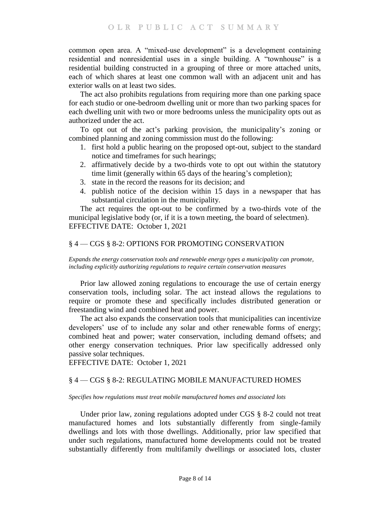common open area. A "mixed-use development" is a development containing residential and nonresidential uses in a single building. A "townhouse" is a residential building constructed in a grouping of three or more attached units, each of which shares at least one common wall with an adjacent unit and has exterior walls on at least two sides.

The act also prohibits regulations from requiring more than one parking space for each studio or one-bedroom dwelling unit or more than two parking spaces for each dwelling unit with two or more bedrooms unless the municipality opts out as authorized under the act.

To opt out of the act's parking provision, the municipality's zoning or combined planning and zoning commission must do the following:

- 1. first hold a public hearing on the proposed opt-out, subject to the standard notice and timeframes for such hearings;
- 2. affirmatively decide by a two-thirds vote to opt out within the statutory time limit (generally within 65 days of the hearing's completion);
- 3. state in the record the reasons for its decision; and
- 4. publish notice of the decision within 15 days in a newspaper that has substantial circulation in the municipality.

The act requires the opt-out to be confirmed by a two-thirds vote of the municipal legislative body (or, if it is a town meeting, the board of selectmen). EFFECTIVE DATE: October 1, 2021

#### <span id="page-7-0"></span>§ 4 — CGS § 8-2: OPTIONS FOR PROMOTING CONSERVATION

<span id="page-7-1"></span>*Expands the energy conservation tools and renewable energy types a municipality can promote, including explicitly authorizing regulations to require certain conservation measures* 

Prior law allowed zoning regulations to encourage the use of certain energy conservation tools, including solar. The act instead allows the regulations to require or promote these and specifically includes distributed generation or freestanding wind and combined heat and power.

The act also expands the conservation tools that municipalities can incentivize developers' use of to include any solar and other renewable forms of energy; combined heat and power; water conservation, including demand offsets; and other energy conservation techniques. Prior law specifically addressed only passive solar techniques.

EFFECTIVE DATE: October 1, 2021

#### <span id="page-7-2"></span>§ 4 — CGS § 8-2: REGULATING MOBILE MANUFACTURED HOMES

<span id="page-7-3"></span>*Specifies how regulations must treat mobile manufactured homes and associated lots* 

Under prior law, zoning regulations adopted under CGS § 8-2 could not treat manufactured homes and lots substantially differently from single-family dwellings and lots with those dwellings. Additionally, prior law specified that under such regulations, manufactured home developments could not be treated substantially differently from multifamily dwellings or associated lots, cluster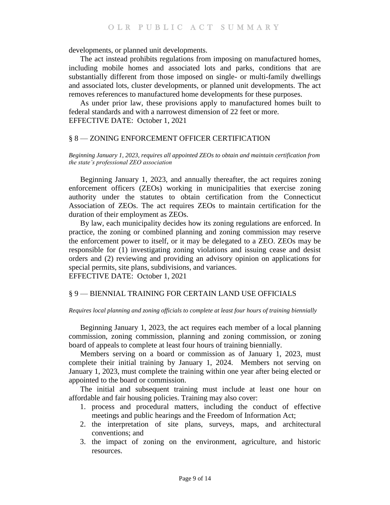developments, or planned unit developments.

The act instead prohibits regulations from imposing on manufactured homes, including mobile homes and associated lots and parks, conditions that are substantially different from those imposed on single- or multi-family dwellings and associated lots, cluster developments, or planned unit developments. The act removes references to manufactured home developments for these purposes.

As under prior law, these provisions apply to manufactured homes built to federal standards and with a narrowest dimension of 22 feet or more. EFFECTIVE DATE: October 1, 2021

#### <span id="page-8-0"></span>§ 8 — ZONING ENFORCEMENT OFFICER CERTIFICATION

<span id="page-8-1"></span>*Beginning January 1, 2023, requires all appointed ZEOs to obtain and maintain certification from the state's professional ZEO association* 

Beginning January 1, 2023, and annually thereafter, the act requires zoning enforcement officers (ZEOs) working in municipalities that exercise zoning authority under the statutes to obtain certification from the Connecticut Association of ZEOs. The act requires ZEOs to maintain certification for the duration of their employment as ZEOs.

By law, each municipality decides how its zoning regulations are enforced. In practice, the zoning or combined planning and zoning commission may reserve the enforcement power to itself, or it may be delegated to a ZEO. ZEOs may be responsible for (1) investigating zoning violations and issuing cease and desist orders and (2) reviewing and providing an advisory opinion on applications for special permits, site plans, subdivisions, and variances.

EFFECTIVE DATE: October 1, 2021

#### <span id="page-8-2"></span>§ 9 — BIENNIAL TRAINING FOR CERTAIN LAND USE OFFICIALS

#### <span id="page-8-3"></span>*Requires local planning and zoning officials to complete at least four hours of training biennially*

Beginning January 1, 2023, the act requires each member of a local planning commission, zoning commission, planning and zoning commission, or zoning board of appeals to complete at least four hours of training biennially.

Members serving on a board or commission as of January 1, 2023, must complete their initial training by January 1, 2024. Members not serving on January 1, 2023, must complete the training within one year after being elected or appointed to the board or commission.

The initial and subsequent training must include at least one hour on affordable and fair housing policies. Training may also cover:

- 1. process and procedural matters, including the conduct of effective meetings and public hearings and the Freedom of Information Act;
- 2. the interpretation of site plans, surveys, maps, and architectural conventions; and
- 3. the impact of zoning on the environment, agriculture, and historic resources.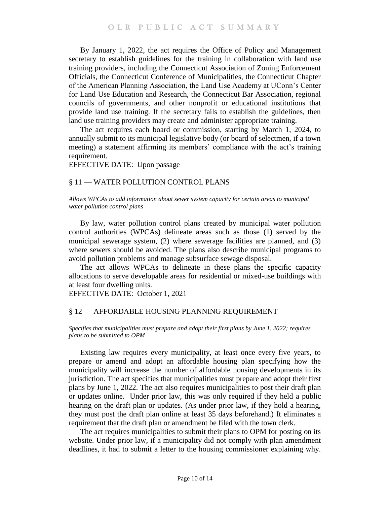By January 1, 2022, the act requires the Office of Policy and Management secretary to establish guidelines for the training in collaboration with land use training providers, including the Connecticut Association of Zoning Enforcement Officials, the Connecticut Conference of Municipalities, the Connecticut Chapter of the American Planning Association, the Land Use Academy at UConn's Center for Land Use Education and Research, the Connecticut Bar Association, regional councils of governments, and other nonprofit or educational institutions that provide land use training. If the secretary fails to establish the guidelines, then land use training providers may create and administer appropriate training.

The act requires each board or commission, starting by March 1, 2024, to annually submit to its municipal legislative body (or board of selectmen, if a town meeting) a statement affirming its members' compliance with the act's training requirement.

EFFECTIVE DATE: Upon passage

### <span id="page-9-0"></span>§ 11 — WATER POLLUTION CONTROL PLANS

<span id="page-9-1"></span>*Allows WPCAs to add information about sewer system capacity for certain areas to municipal water pollution control plans* 

By law, water pollution control plans created by municipal water pollution control authorities (WPCAs) delineate areas such as those (1) served by the municipal sewerage system, (2) where sewerage facilities are planned, and (3) where sewers should be avoided. The plans also describe municipal programs to avoid pollution problems and manage subsurface sewage disposal.

The act allows WPCAs to delineate in these plans the specific capacity allocations to serve developable areas for residential or mixed-use buildings with at least four dwelling units.

EFFECTIVE DATE: October 1, 2021

#### <span id="page-9-2"></span>§ 12 — AFFORDABLE HOUSING PLANNING REQUIREMENT

#### <span id="page-9-3"></span>*Specifies that municipalities must prepare and adopt their first plans by June 1, 2022; requires plans to be submitted to OPM*

Existing law requires every municipality, at least once every five years, to prepare or amend and adopt an affordable housing plan specifying how the municipality will increase the number of affordable housing developments in its jurisdiction. The act specifies that municipalities must prepare and adopt their first plans by June 1, 2022. The act also requires municipalities to post their draft plan or updates online. Under prior law, this was only required if they held a public hearing on the draft plan or updates. (As under prior law, if they hold a hearing, they must post the draft plan online at least 35 days beforehand.) It eliminates a requirement that the draft plan or amendment be filed with the town clerk.

The act requires municipalities to submit their plans to OPM for posting on its website. Under prior law, if a municipality did not comply with plan amendment deadlines, it had to submit a letter to the housing commissioner explaining why.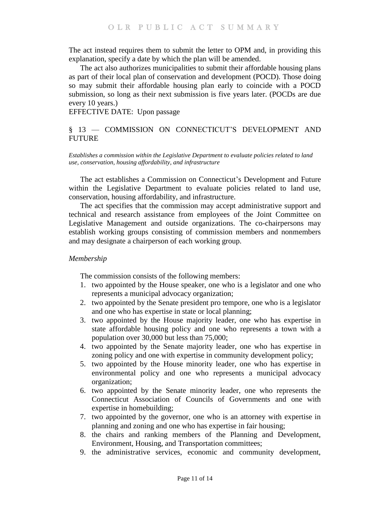The act instead requires them to submit the letter to OPM and, in providing this explanation, specify a date by which the plan will be amended.

The act also authorizes municipalities to submit their affordable housing plans as part of their local plan of conservation and development (POCD). Those doing so may submit their affordable housing plan early to coincide with a POCD submission, so long as their next submission is five years later. (POCDs are due every 10 years.)

EFFECTIVE DATE: Upon passage

### <span id="page-10-0"></span>§ 13 — COMMISSION ON CONNECTICUT'S DEVELOPMENT AND **FUTURE**

<span id="page-10-1"></span>*Establishes a commission within the Legislative Department to evaluate policies related to land use, conservation, housing affordability, and infrastructure*

The act establishes a Commission on Connecticut's Development and Future within the Legislative Department to evaluate policies related to land use, conservation, housing affordability, and infrastructure.

The act specifies that the commission may accept administrative support and technical and research assistance from employees of the Joint Committee on Legislative Management and outside organizations. The co-chairpersons may establish working groups consisting of commission members and nonmembers and may designate a chairperson of each working group.

#### *Membership*

The commission consists of the following members:

- 1. two appointed by the House speaker, one who is a legislator and one who represents a municipal advocacy organization;
- 2. two appointed by the Senate president pro tempore, one who is a legislator and one who has expertise in state or local planning;
- 3. two appointed by the House majority leader, one who has expertise in state affordable housing policy and one who represents a town with a population over 30,000 but less than 75,000;
- 4. two appointed by the Senate majority leader, one who has expertise in zoning policy and one with expertise in community development policy;
- 5. two appointed by the House minority leader, one who has expertise in environmental policy and one who represents a municipal advocacy organization;
- 6. two appointed by the Senate minority leader, one who represents the Connecticut Association of Councils of Governments and one with expertise in homebuilding;
- 7. two appointed by the governor, one who is an attorney with expertise in planning and zoning and one who has expertise in fair housing;
- 8. the chairs and ranking members of the Planning and Development, Environment, Housing, and Transportation committees;
- 9. the administrative services, economic and community development,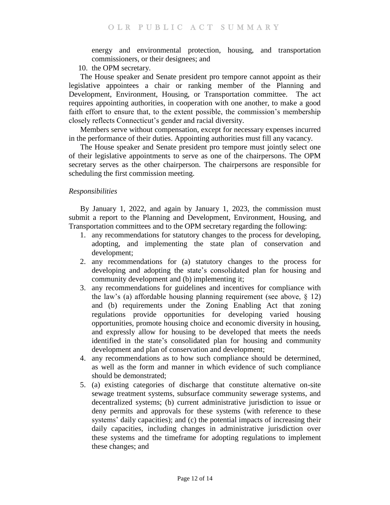energy and environmental protection, housing, and transportation commissioners, or their designees; and

10. the OPM secretary.

The House speaker and Senate president pro tempore cannot appoint as their legislative appointees a chair or ranking member of the Planning and Development, Environment, Housing, or Transportation committee. The act requires appointing authorities, in cooperation with one another, to make a good faith effort to ensure that, to the extent possible, the commission's membership closely reflects Connecticut's gender and racial diversity.

Members serve without compensation, except for necessary expenses incurred in the performance of their duties. Appointing authorities must fill any vacancy.

The House speaker and Senate president pro tempore must jointly select one of their legislative appointments to serve as one of the chairpersons. The OPM secretary serves as the other chairperson. The chairpersons are responsible for scheduling the first commission meeting.

### *Responsibilities*

By January 1, 2022, and again by January 1, 2023, the commission must submit a report to the Planning and Development, Environment, Housing, and Transportation committees and to the OPM secretary regarding the following:

- 1. any recommendations for statutory changes to the process for developing, adopting, and implementing the state plan of conservation and development;
- 2. any recommendations for (a) statutory changes to the process for developing and adopting the state's consolidated plan for housing and community development and (b) implementing it;
- 3. any recommendations for guidelines and incentives for compliance with the law's (a) affordable housing planning requirement (see above,  $\S$  12) and (b) requirements under the Zoning Enabling Act that zoning regulations provide opportunities for developing varied housing opportunities, promote housing choice and economic diversity in housing, and expressly allow for housing to be developed that meets the needs identified in the state's consolidated plan for housing and community development and plan of conservation and development;
- 4. any recommendations as to how such compliance should be determined, as well as the form and manner in which evidence of such compliance should be demonstrated;
- 5. (a) existing categories of discharge that constitute alternative on-site sewage treatment systems, subsurface community sewerage systems, and decentralized systems; (b) current administrative jurisdiction to issue or deny permits and approvals for these systems (with reference to these systems' daily capacities); and (c) the potential impacts of increasing their daily capacities, including changes in administrative jurisdiction over these systems and the timeframe for adopting regulations to implement these changes; and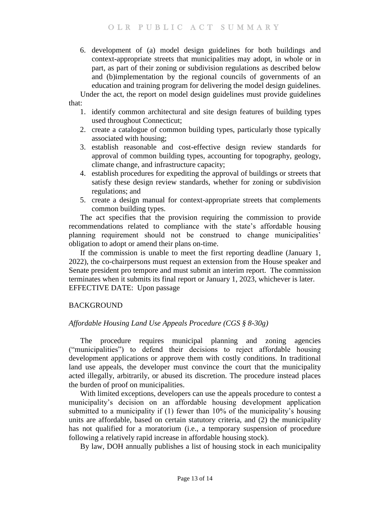6. development of (a) model design guidelines for both buildings and context-appropriate streets that municipalities may adopt, in whole or in part, as part of their zoning or subdivision regulations as described below and (b)implementation by the regional councils of governments of an education and training program for delivering the model design guidelines.

Under the act, the report on model design guidelines must provide guidelines that:

- 1. identify common architectural and site design features of building types used throughout Connecticut;
- 2. create a catalogue of common building types, particularly those typically associated with housing;
- 3. establish reasonable and cost-effective design review standards for approval of common building types, accounting for topography, geology, climate change, and infrastructure capacity;
- 4. establish procedures for expediting the approval of buildings or streets that satisfy these design review standards, whether for zoning or subdivision regulations; and
- 5. create a design manual for context-appropriate streets that complements common building types.

The act specifies that the provision requiring the commission to provide recommendations related to compliance with the state's affordable housing planning requirement should not be construed to change municipalities' obligation to adopt or amend their plans on-time.

If the commission is unable to meet the first reporting deadline (January 1, 2022), the co-chairpersons must request an extension from the House speaker and Senate president pro tempore and must submit an interim report. The commission terminates when it submits its final report or January 1, 2023, whichever is later. EFFECTIVE DATE: Upon passage

# <span id="page-12-0"></span>BACKGROUND

### *Affordable Housing Land Use Appeals Procedure (CGS § 8-30g)*

The procedure requires municipal planning and zoning agencies ("municipalities") to defend their decisions to reject affordable housing development applications or approve them with costly conditions. In traditional land use appeals, the developer must convince the court that the municipality acted illegally, arbitrarily, or abused its discretion. The procedure instead places the burden of proof on municipalities.

With limited exceptions, developers can use the appeals procedure to contest a municipality's decision on an affordable housing development application submitted to a municipality if (1) fewer than 10% of the municipality's housing units are affordable, based on certain statutory criteria, and (2) the municipality has not qualified for a moratorium (i.e., a temporary suspension of procedure following a relatively rapid increase in affordable housing stock).

By law, DOH annually publishes a list of housing stock in each municipality